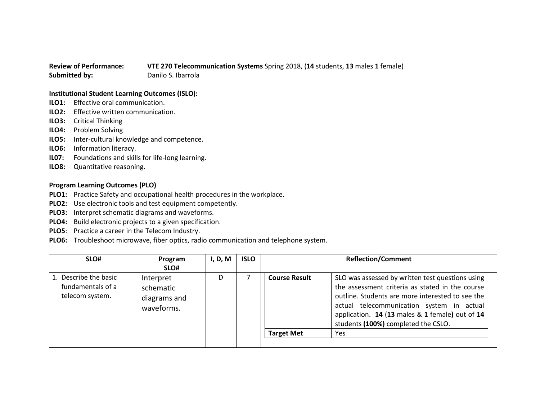## **Review of Performance: VTE 270 Telecommunication Systems** Spring 2018, (**14** students, **13** males **1** female) **Submitted by:** Danilo S. Ibarrola

## **Institutional Student Learning Outcomes (ISLO):**

- **ILO1:** Effective oral communication.
- **ILO2:** Effective written communication.
- **ILO3:** Critical Thinking
- **ILO4:** Problem Solving
- **ILO5:** Inter-cultural knowledge and competence.
- **ILO6:** Information literacy.
- **IL07:** Foundations and skills for life-long learning.
- **ILO8:** Quantitative reasoning.

## **Program Learning Outcomes (PLO)**

- **PLO1:** Practice Safety and occupational health procedures in the workplace.
- **PLO2:** Use electronic tools and test equipment competently.
- **PLO3:** Interpret schematic diagrams and waveforms.
- **PLO4:** Build electronic projects to a given specification.
- **PLO5**: Practice a career in the Telecom Industry.
- **PLO6:** Troubleshoot microwave, fiber optics, radio communication and telephone system.

| SLO#                                                          | Program<br>SLO#                                      | I, D, M | <b>ISLO</b> |                      | <b>Reflection/Comment</b>                                                                                                                                                                                                                                                                      |
|---------------------------------------------------------------|------------------------------------------------------|---------|-------------|----------------------|------------------------------------------------------------------------------------------------------------------------------------------------------------------------------------------------------------------------------------------------------------------------------------------------|
| 1. Describe the basic<br>fundamentals of a<br>telecom system. | Interpret<br>schematic<br>diagrams and<br>waveforms. | D       |             | <b>Course Result</b> | SLO was assessed by written test questions using<br>the assessment criteria as stated in the course<br>outline. Students are more interested to see the<br>actual telecommunication system in actual<br>application. 14 (13 males & 1 female) out of 14<br>students (100%) completed the CSLO. |
|                                                               |                                                      |         |             | <b>Target Met</b>    | <b>Yes</b>                                                                                                                                                                                                                                                                                     |
|                                                               |                                                      |         |             |                      |                                                                                                                                                                                                                                                                                                |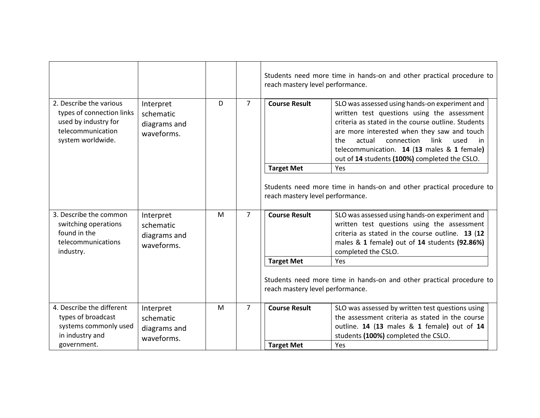|                                                                                                                        |                                                      |   |                | reach mastery level performance. | Students need more time in hands-on and other practical procedure to                                                                                                                                                                                                                                                                                    |
|------------------------------------------------------------------------------------------------------------------------|------------------------------------------------------|---|----------------|----------------------------------|---------------------------------------------------------------------------------------------------------------------------------------------------------------------------------------------------------------------------------------------------------------------------------------------------------------------------------------------------------|
| 2. Describe the various<br>types of connection links<br>used by industry for<br>telecommunication<br>system worldwide. | Interpret<br>schematic<br>diagrams and<br>waveforms. | D | $\overline{7}$ | <b>Course Result</b>             | SLO was assessed using hands-on experiment and<br>written test questions using the assessment<br>criteria as stated in the course outline. Students<br>are more interested when they saw and touch<br>actual<br>connection<br>link<br>the<br>used<br>in<br>telecommunication. 14 (13 males & 1 female)<br>out of 14 students (100%) completed the CSLO. |
|                                                                                                                        |                                                      |   |                | <b>Target Met</b>                | Yes                                                                                                                                                                                                                                                                                                                                                     |
|                                                                                                                        |                                                      |   |                | reach mastery level performance. | Students need more time in hands-on and other practical procedure to                                                                                                                                                                                                                                                                                    |
| 3. Describe the common<br>switching operations<br>found in the<br>telecommunications<br>industry.                      | Interpret<br>schematic<br>diagrams and<br>waveforms. | M | $\overline{7}$ | <b>Course Result</b>             | SLO was assessed using hands-on experiment and<br>written test questions using the assessment<br>criteria as stated in the course outline. 13 (12<br>males & 1 female) out of 14 students (92.86%)<br>completed the CSLO.                                                                                                                               |
|                                                                                                                        |                                                      |   |                | <b>Target Met</b>                | Yes                                                                                                                                                                                                                                                                                                                                                     |
|                                                                                                                        |                                                      |   |                | reach mastery level performance. | Students need more time in hands-on and other practical procedure to                                                                                                                                                                                                                                                                                    |
| 4. Describe the different                                                                                              | Interpret                                            | M | $\overline{7}$ | <b>Course Result</b>             | SLO was assessed by written test questions using                                                                                                                                                                                                                                                                                                        |
| types of broadcast                                                                                                     | schematic                                            |   |                |                                  | the assessment criteria as stated in the course                                                                                                                                                                                                                                                                                                         |
| systems commonly used<br>in industry and                                                                               | diagrams and                                         |   |                |                                  | outline. 14 (13 males & 1 female) out of 14<br>students (100%) completed the CSLO.                                                                                                                                                                                                                                                                      |
| government.                                                                                                            | waveforms.                                           |   |                | <b>Target Met</b>                | Yes                                                                                                                                                                                                                                                                                                                                                     |
|                                                                                                                        |                                                      |   |                |                                  |                                                                                                                                                                                                                                                                                                                                                         |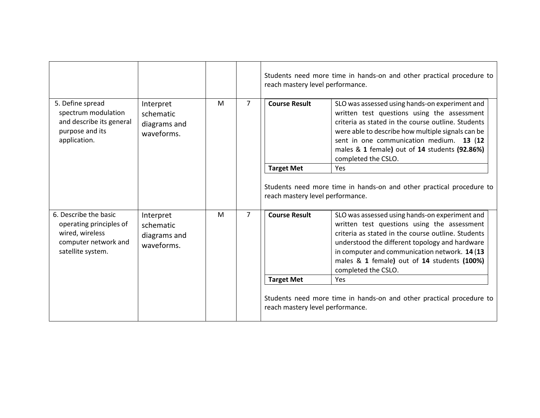|                                                                                                                  |                                                      |   |                | Students need more time in hands-on and other practical procedure to<br>reach mastery level performance. |                                                                                                                                                                                                                                                                                                                              |
|------------------------------------------------------------------------------------------------------------------|------------------------------------------------------|---|----------------|----------------------------------------------------------------------------------------------------------|------------------------------------------------------------------------------------------------------------------------------------------------------------------------------------------------------------------------------------------------------------------------------------------------------------------------------|
| 5. Define spread<br>spectrum modulation<br>and describe its general<br>purpose and its<br>application.           | Interpret<br>schematic<br>diagrams and<br>waveforms. | M | $\overline{7}$ | <b>Course Result</b>                                                                                     | SLO was assessed using hands-on experiment and<br>written test questions using the assessment<br>criteria as stated in the course outline. Students<br>were able to describe how multiple signals can be<br>sent in one communication medium. 13 (12<br>males & 1 female) out of 14 students (92.86%)<br>completed the CSLO. |
|                                                                                                                  |                                                      |   |                | <b>Target Met</b>                                                                                        | Yes                                                                                                                                                                                                                                                                                                                          |
|                                                                                                                  |                                                      |   |                | reach mastery level performance.                                                                         | Students need more time in hands-on and other practical procedure to                                                                                                                                                                                                                                                         |
| 6. Describe the basic<br>operating principles of<br>wired, wireless<br>computer network and<br>satellite system. | Interpret<br>schematic<br>diagrams and<br>waveforms. | M | $\overline{7}$ | <b>Course Result</b>                                                                                     | SLO was assessed using hands-on experiment and<br>written test questions using the assessment<br>criteria as stated in the course outline. Students<br>understood the different topology and hardware<br>in computer and communication network. 14 (13<br>males & 1 female) out of 14 students (100%)<br>completed the CSLO. |
|                                                                                                                  |                                                      |   |                | <b>Target Met</b>                                                                                        | <b>Yes</b>                                                                                                                                                                                                                                                                                                                   |
|                                                                                                                  |                                                      |   |                | reach mastery level performance.                                                                         | Students need more time in hands-on and other practical procedure to                                                                                                                                                                                                                                                         |